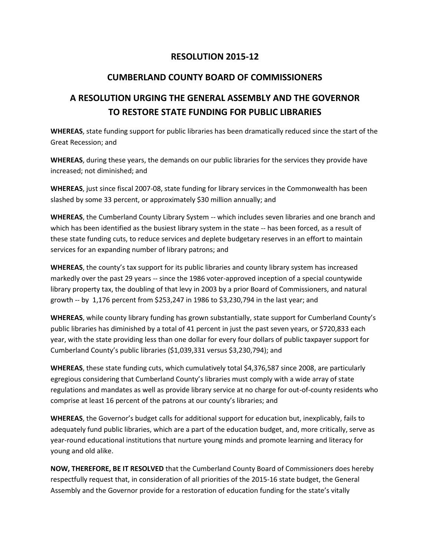## **RESOLUTION 2015-12**

## **CUMBERLAND COUNTY BOARD OF COMMISSIONERS**

## **A RESOLUTION URGING THE GENERAL ASSEMBLY AND THE GOVERNOR TO RESTORE STATE FUNDING FOR PUBLIC LIBRARIES**

**WHEREAS**, state funding support for public libraries has been dramatically reduced since the start of the Great Recession; and

**WHEREAS**, during these years, the demands on our public libraries for the services they provide have increased; not diminished; and

**WHEREAS**, just since fiscal 2007-08, state funding for library services in the Commonwealth has been slashed by some 33 percent, or approximately \$30 million annually; and

**WHEREAS**, the Cumberland County Library System -- which includes seven libraries and one branch and which has been identified as the busiest library system in the state -- has been forced, as a result of these state funding cuts, to reduce services and deplete budgetary reserves in an effort to maintain services for an expanding number of library patrons; and

**WHEREAS**, the county's tax support for its public libraries and county library system has increased markedly over the past 29 years -- since the 1986 voter-approved inception of a special countywide library property tax, the doubling of that levy in 2003 by a prior Board of Commissioners, and natural growth -- by 1,176 percent from \$253,247 in 1986 to \$3,230,794 in the last year; and

**WHEREAS**, while county library funding has grown substantially, state support for Cumberland County's public libraries has diminished by a total of 41 percent in just the past seven years, or \$720,833 each year, with the state providing less than one dollar for every four dollars of public taxpayer support for Cumberland County's public libraries (\$1,039,331 versus \$3,230,794); and

**WHEREAS**, these state funding cuts, which cumulatively total \$4,376,587 since 2008, are particularly egregious considering that Cumberland County's libraries must comply with a wide array of state regulations and mandates as well as provide library service at no charge for out-of-county residents who comprise at least 16 percent of the patrons at our county's libraries; and

**WHEREAS**, the Governor's budget calls for additional support for education but, inexplicably, fails to adequately fund public libraries, which are a part of the education budget, and, more critically, serve as year-round educational institutions that nurture young minds and promote learning and literacy for young and old alike.

**NOW, THEREFORE, BE IT RESOLVED** that the Cumberland County Board of Commissioners does hereby respectfully request that, in consideration of all priorities of the 2015-16 state budget, the General Assembly and the Governor provide for a restoration of education funding for the state's vitally